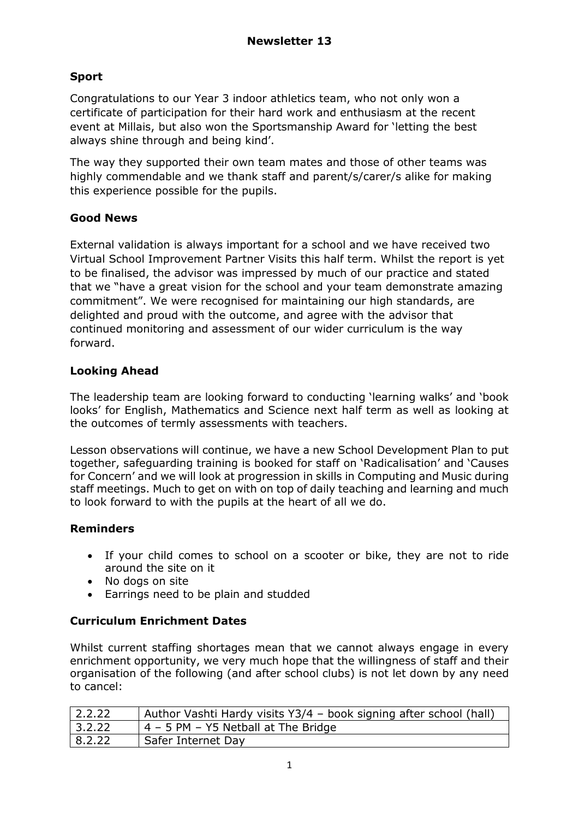# **Sport**

Congratulations to our Year 3 indoor athletics team, who not only won a certificate of participation for their hard work and enthusiasm at the recent event at Millais, but also won the Sportsmanship Award for 'letting the best always shine through and being kind'.

The way they supported their own team mates and those of other teams was highly commendable and we thank staff and parent/s/carer/s alike for making this experience possible for the pupils.

#### **Good News**

External validation is always important for a school and we have received two Virtual School Improvement Partner Visits this half term. Whilst the report is yet to be finalised, the advisor was impressed by much of our practice and stated that we "have a great vision for the school and your team demonstrate amazing commitment". We were recognised for maintaining our high standards, are delighted and proud with the outcome, and agree with the advisor that continued monitoring and assessment of our wider curriculum is the way forward.

#### **Looking Ahead**

The leadership team are looking forward to conducting 'learning walks' and 'book looks' for English, Mathematics and Science next half term as well as looking at the outcomes of termly assessments with teachers.

Lesson observations will continue, we have a new School Development Plan to put together, safeguarding training is booked for staff on 'Radicalisation' and 'Causes for Concern' and we will look at progression in skills in Computing and Music during staff meetings. Much to get on with on top of daily teaching and learning and much to look forward to with the pupils at the heart of all we do.

## **Reminders**

- If your child comes to school on a scooter or bike, they are not to ride around the site on it
- No dogs on site
- Earrings need to be plain and studded

## **Curriculum Enrichment Dates**

Whilst current staffing shortages mean that we cannot always engage in every enrichment opportunity, we very much hope that the willingness of staff and their organisation of the following (and after school clubs) is not let down by any need to cancel:

| 2.2.22 | Author Vashti Hardy visits Y3/4 - book signing after school (hall) |
|--------|--------------------------------------------------------------------|
| 3.2.22 | $4 - 5$ PM $-$ Y5 Netball at The Bridge                            |
| 8.2.22 | Safer Internet Day                                                 |